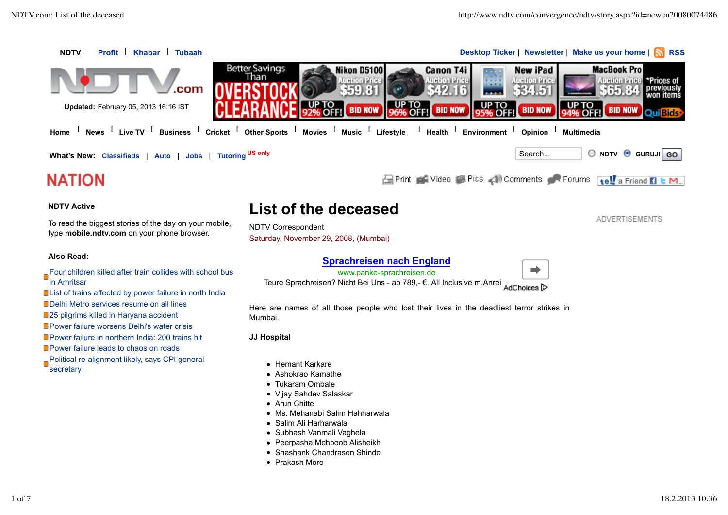

### **Also Read:**

Four children killed after train collides with school bus in Amritsar

List of trains affected by power failure in north India

Delhi Metro services resume on all lines

**25 pilgrims killed in Haryana accident** 

**Power failure worsens Delhi's water crisis** 

**Power failure in northern India: 200 trains hit** 

**Power failure leads to chaos on roads** 

Political re-alignment likely, says CPI general **secretary** 

# **Sprachreisen nach England**

www.panke-sprachreisen.de



Teure Sprachreisen? Nicht Bei Uns - ab 789,- €. All Inclusive m.Anrei AdChoices

Here are names of all those people who lost their lives in the deadliest terror strikes in Mumbai.

## **JJ Hospital**

- Hemant Karkare
- Ashokrao Kamathe
- Tukaram Ombale
- Vijay Sahdev Salaskar
- Arun Chitte
- Ms. Mehanabi Salim Hahharwala
- Salim Ali Harharwala
- Subhash Vanmali Vaghela
- Peerpasha Mehboob Alisheikh
- Shashank Chandrasen Shinde
- Prakash More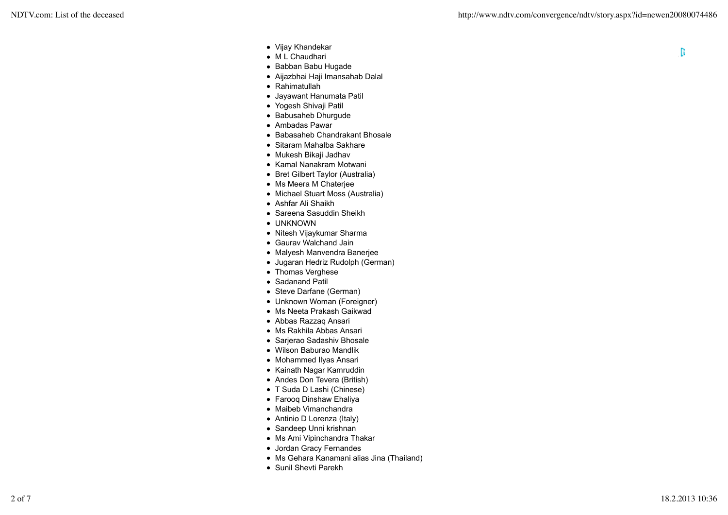- Vijay Khandekar
- M L Chaudhari
- Babban Babu Hugade
- Aijazbhai Haji Imansahab Dalal
- Rahimatullah
- Jayawant Hanumata Patil
- Yogesh Shivaji Patil
- Babusaheb Dhurqude
- Ambadas Pawar
- Babasaheb Chandrakant Bhosale
- Sitaram Mahalba Sakhare
- Mukesh Bikaji Jadhav
- Kamal Nanakram Motwani
- Bret Gilbert Taylor (Australia)
- Ms Meera M Chaterjee
- Michael Stuart Moss (Australia)
- Ashfar Ali Shaikh
- Sareena Sasuddin Sheikh
- UNKNOWN
- Nitesh Vijaykumar Sharma
- Gaurav Walchand Jain
- Malyesh Manvendra Banerjee
- Jugaran Hedriz Rudolph (German)
- Thomas Verghese
- Sadanand Patil
- Steve Darfane (German)
- Unknown Woman (Foreigner)
- Ms Neeta Prakash Gaikwad
- Abbas Razzaq Ansari
- Ms Rakhila Abbas Ansari
- Sarjerao Sadashiv Bhosale
- Wilson Baburao Mandlik
- Mohammed Ilyas Ansari
- Kainath Nagar Kamruddin
- Andes Don Tevera (British)
- T Suda D Lashi (Chinese)
- Farooq Dinshaw Ehaliya
- Maibeb Vimanchandra
- Antinio D Lorenza (Italy)
- Sandeep Unni krishnan
- Ms Ami Vipinchandra Thakar
- Jordan Gracy Fernandes
- Ms Gehara Kanamani alias Jina (Thailand)
- Sunil Shevti Parekh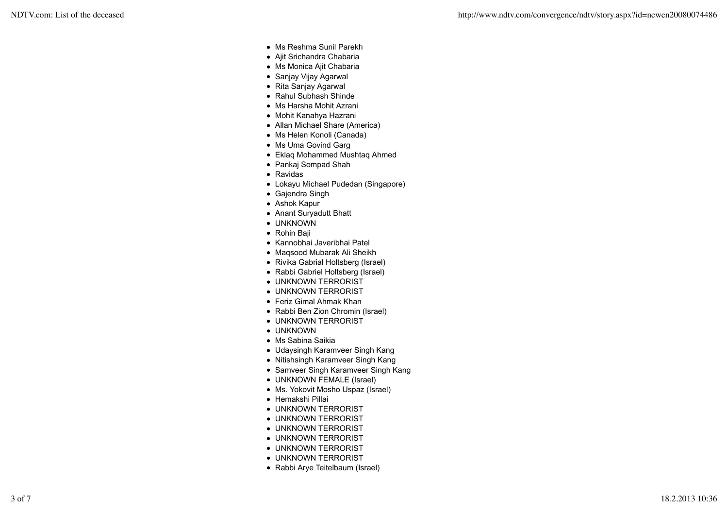- Ms Reshma Sunil Parekh
- Ajit Srichandra Chabaria
- Ms Monica Ajit Chabaria
- Sanjay Vijay Agarwal
- Rita Sanjay Agarwal
- Rahul Subhash Shinde
- Ms Harsha Mohit Azrani
- Mohit Kanahya Hazrani
- Allan Michael Share (America)
- Ms Helen Konoli (Canada)
- Ms Uma Govind Garg
- Eklaq Mohammed Mushtaq Ahmed
- Pankaj Sompad Shah
- Ravidas
- Lokayu Michael Pudedan (Singapore)
- Gajendra Singh
- Ashok Kapur
- Anant Suryadutt Bhatt
- UNKNOWN
- Rohin Baji
- Kannobhai Javeribhai Patel
- Maqsood Mubarak Ali Sheikh
- Rivika Gabrial Holtsberg (Israel)
- Rabbi Gabriel Holtsberg (Israel)
- UNKNOWN TERRORIST
- UNKNOWN TERRORIST
- Feriz Gimal Ahmak Khan
- Rabbi Ben Zion Chromin (Israel)
- UNKNOWN TERRORIST
- UNKNOWN
- Ms Sabina Saikia
- Udaysingh Karamveer Singh Kang
- Nitishsingh Karamveer Singh Kang
- Samveer Singh Karamveer Singh Kang
- UNKNOWN FEMALE (Israel)
- Ms. Yokovit Mosho Uspaz (Israel)
- Hemakshi Pillai
- UNKNOWN TERRORIST
- UNKNOWN TERRORIST
- UNKNOWN TERRORIST
- UNKNOWN TERRORIST
- UNKNOWN TERRORIST
- UNKNOWN TERRORIST
- Rabbi Arye Teitelbaum (Israel)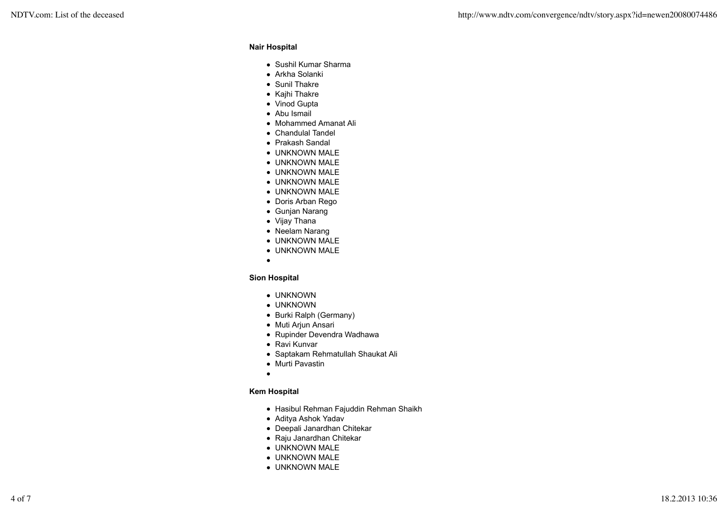### **Nair Hospital**

- Sushil Kumar Sharma
- Arkha Solanki
- Sunil Thakre
- Kajhi Thakre
- Vinod Gupta
- Abu Ismail
- Mohammed Amanat Ali
- Chandulal Tandel
- Prakash Sandal
- UNKNOWN MALE
- UNKNOWN MALE
- UNKNOWN MALE
- UNKNOWN MALE
- UNKNOWN MALE
- Doris Arban Rego
- Gunjan Narang
- Vijay Thana
- Neelam Narang
- UNKNOWN MALE
- UNKNOWN MALE
- $\bullet$

## **Sion Hospital**

- UNKNOWN
- UNKNOWN
- Burki Ralph (Germany)
- Muti Arjun Ansari
- Rupinder Devendra Wadhawa
- Ravi Kunvar
- Saptakam Rehmatullah Shaukat Ali
- Murti Pavastin
- $\bullet$

# **Kem Hospital**

- Hasibul Rehman Fajuddin Rehman Shaikh
- Aditya Ashok Yadav
- Deepali Janardhan Chitekar
- Raju Janardhan Chitekar
- UNKNOWN MALE
- UNKNOWN MALE
- UNKNOWN MALE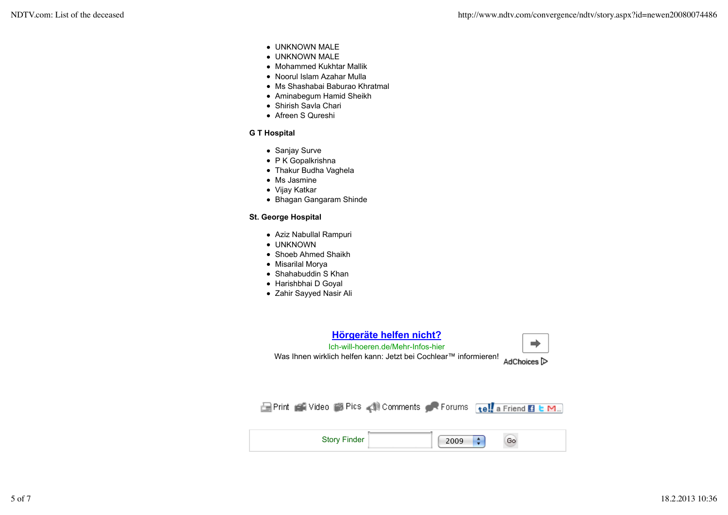- UNKNOWN MALE
- UNKNOWN MALE
- Mohammed Kukhtar Mallik
- Noorul Islam Azahar Mulla
- Ms Shashabai Baburao Khratmal
- Aminabegum Hamid Sheikh
- Shirish Savla Chari
- Afreen S Qureshi

## **G T Hospital**

- Sanjay Surve
- P K Gopalkrishna
- Thakur Budha Vaghela
- Ms Jasmine
- Vijay Katkar
- Bhagan Gangaram Shinde

## **St. George Hospital**

- Aziz Nabullal Rampuri
- UNKNOWN
- Shoeb Ahmed Shaikh
- Misarilal Morya
- Shahabuddin S Khan
- Harishbhai D Goyal
- Zahir Sayyed Nasir Ali



| Story Finder | ٠<br>2009 |  |
|--------------|-----------|--|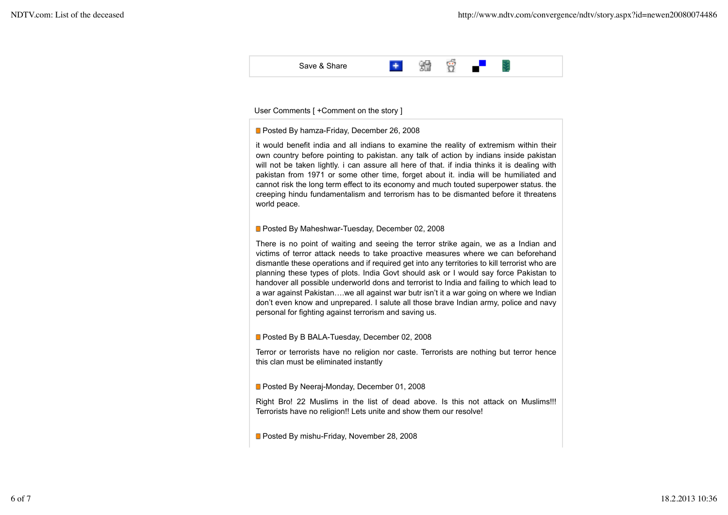

#### User Comments [ + Comment on the story ]

#### **Posted By hamza-Friday, December 26, 2008**

it would benefit india and all indians to examine the reality of extremism within their own country before pointing to pakistan. any talk of action by indians inside pakistan will not be taken lightly. i can assure all here of that. if india thinks it is dealing with pakistan from 1971 or some other time, forget about it. india will be humiliated and cannot risk the long term effect to its economy and much touted superpower status. the creeping hindu fundamentalism and terrorism has to be dismanted before it threatens world peace.

### **Posted By Maheshwar-Tuesday, December 02, 2008**

There is no point of waiting and seeing the terror strike again, we as a Indian and victims of terror attack needs to take proactive measures where we can beforehand dismantle these operations and if required get into any territories to kill terrorist who are planning these types of plots. India Govt should ask or I would say force Pakistan to handover all possible underworld dons and terrorist to India and failing to which lead to a war against Pakistan….we all against war butr isn't it a war going on where we Indian don't even know and unprepared. I salute all those brave Indian army, police and navy personal for fighting against terrorism and saving us.

### **Posted By B BALA-Tuesday, December 02, 2008**

Terror or terrorists have no religion nor caste. Terrorists are nothing but terror hence this clan must be eliminated instantly

#### **Posted By Neeraj-Monday, December 01, 2008**

Right Bro! 22 Muslims in the list of dead above. Is this not attack on Muslims!!! Terrorists have no religion!! Lets unite and show them our resolve!

**Posted By mishu-Friday, November 28, 2008**